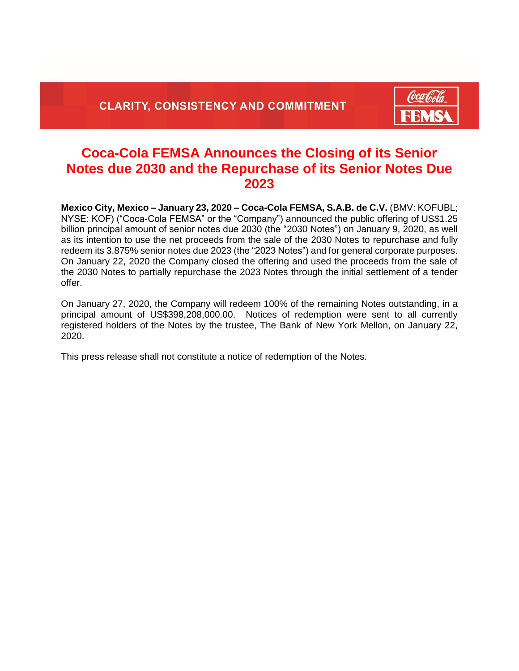

## **Coca-Cola FEMSA Announces the Closing of its Senior Notes due 2030 and the Repurchase of its Senior Notes Due 2023**

**Mexico City, Mexico – January 23, 2020 – Coca-Cola FEMSA, S.A.B. de C.V.** (BMV: KOFUBL; NYSE: KOF) ("Coca-Cola FEMSA" or the "Company") announced the public offering of US\$1.25 billion principal amount of senior notes due 2030 (the "2030 Notes") on January 9, 2020, as well as its intention to use the net proceeds from the sale of the 2030 Notes to repurchase and fully redeem its 3.875% senior notes due 2023 (the "2023 Notes") and for general corporate purposes. On January 22, 2020 the Company closed the offering and used the proceeds from the sale of the 2030 Notes to partially repurchase the 2023 Notes through the initial settlement of a tender offer.

On January 27, 2020, the Company will redeem 100% of the remaining Notes outstanding, in a principal amount of US\$398,208,000.00. Notices of redemption were sent to all currently registered holders of the Notes by the trustee, The Bank of New York Mellon, on January 22, 2020.

This press release shall not constitute a notice of redemption of the Notes.